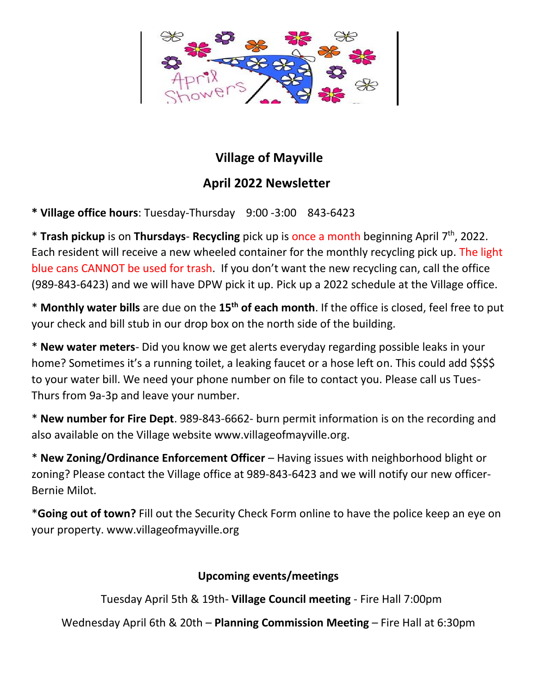

## **Village of Mayville**

## **April 2022 Newsletter**

**\* Village office hours**: Tuesday-Thursday 9:00 -3:00 843-6423

\* **Trash pickup** is on **Thursdays**- **Recycling** pick up is once a month beginning April 7 th , 2022. Each resident will receive a new wheeled container for the monthly recycling pick up. The light blue cans CANNOT be used for trash. If you don't want the new recycling can, call the office (989-843-6423) and we will have DPW pick it up. Pick up a 2022 schedule at the Village office.

\* **Monthly water bills** are due on the **15th of each month**. If the office is closed, feel free to put your check and bill stub in our drop box on the north side of the building.

\* **New water meters**- Did you know we get alerts everyday regarding possible leaks in your home? Sometimes it's a running toilet, a leaking faucet or a hose left on. This could add \$\$\$\$ to your water bill. We need your phone number on file to contact you. Please call us Tues-Thurs from 9a-3p and leave your number.

\* **New number for Fire Dept**. 989-843-6662- burn permit information is on the recording and also available on the Village website www.villageofmayville.org.

\* **New Zoning/Ordinance Enforcement Officer** – Having issues with neighborhood blight or zoning? Please contact the Village office at 989-843-6423 and we will notify our new officer-Bernie Milot.

\***Going out of town?** Fill out the Security Check Form online to have the police keep an eye on your property. www.villageofmayville.org

## **Upcoming events/meetings**

Tuesday April 5th & 19th- **Village Council meeting** - Fire Hall 7:00pm

Wednesday April 6th & 20th – **Planning Commission Meeting** – Fire Hall at 6:30pm